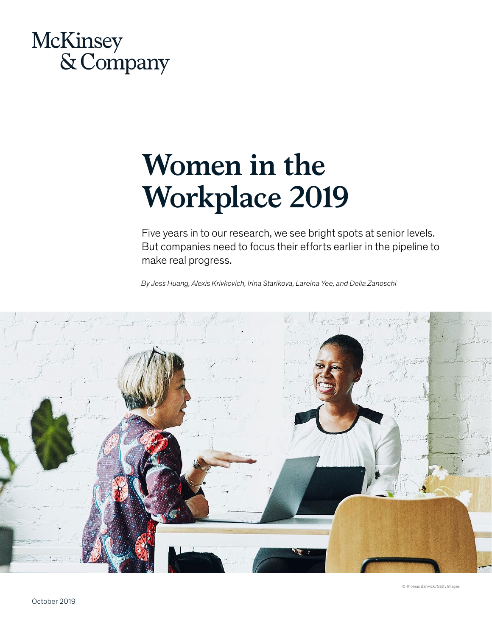

# **Women in the Workplace 2019**

Five years in to our research, we see bright spots at senior levels. But companies need to focus their efforts earlier in the pipeline to make real progress.

*By Jess Huang, Alexis Krivkovich, Irina Starikova, Lareina Yee, and Delia Zanoschi* 

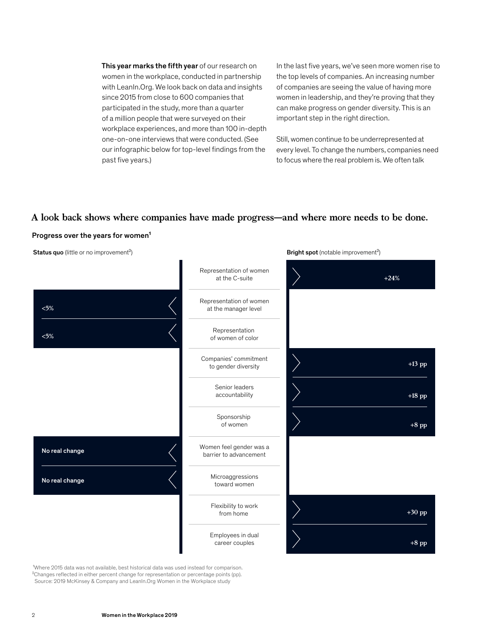This year marks the fifth year of our research on women in the workplace, conducted in partnership with LeanIn. Org. We look back on data and insights since 2015 from close to 600 companies that participated in the study, more than a quarter of a million people that were surveyed on their workplace experiences, and more than 100 in-depth one-on-one interviews that were conducted. (See our infographic below for top-level findings from the past five years.)

In the last five years, we've seen more women rise to the top levels of companies. An increasing number of companies are seeing the value of having more women in leadership, and they're proving that they can make progress on gender diversity. This is an important step in the right direction.

Still, women continue to be underrepresented at every level. To change the numbers, companies need to focus where the real problem is. We often talk

Bright spot (notable improvement<sup>2</sup>)

# **A look back shows where companies have made progress—and where more needs to be done.**

#### Progress over the years for women<sup>1</sup>

Status quo (little or no improvement<sup>2</sup>)



<sup>1</sup>Where 2015 data was not available, best historical data was used instead for comparison. <sup>2</sup>Changes reflected in either percent change for representation or percentage points (pp). Source: 2019 McKinsey & Company and [LeanIn.Org](https://LeanIn.Org) Women in the Workplace study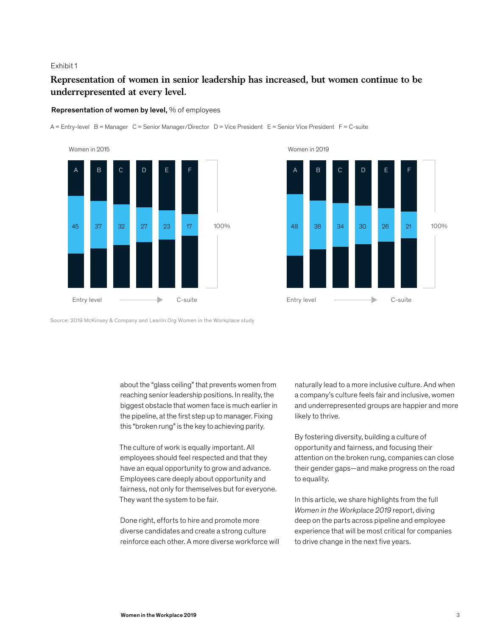# **Representation of women in senior leadership has increased, but women continue to be underrepresented at every level.**

#### Representation of women by level, % of employees

A = Entry-level B = Manager C = Senior Manager/Director D = Vice President E = Senior Vice President F = C-suite





Source: 2019 McKinsey & Company and [LeanIn.Org](https://LeanIn.Org) Women in the Workplace study

about the "glass ceiling" that prevents women from reaching senior leadership positions. In reality, the biggest obstacle that women face is much earlier in the pipeline, at the first step up to manager. Fixing this "broken rung" is the key to achieving parity.

The culture of work is equally important. All employees should feel respected and that they have an equal opportunity to grow and advance. Employees care deeply about opportunity and fairness, not only for themselves but for everyone. They want the system to be fair.

Done right, efforts to hire and promote more diverse candidates and create a strong culture reinforce each other. A more diverse workforce will naturally lead to a more inclusive culture. And when a company's culture feels fair and inclusive, women and underrepresented groups are happier and more likely to thrive.

By fostering diversity, building a culture of opportunity and fairness, and focusing their attention on the broken rung, companies can close their gender gaps—and make progress on the road to equality.

In this article, we share highlights from the full *Women in the Workplace 2019* report, diving deep on the parts across pipeline and employee experience that will be most critical for companies to drive change in the next five years.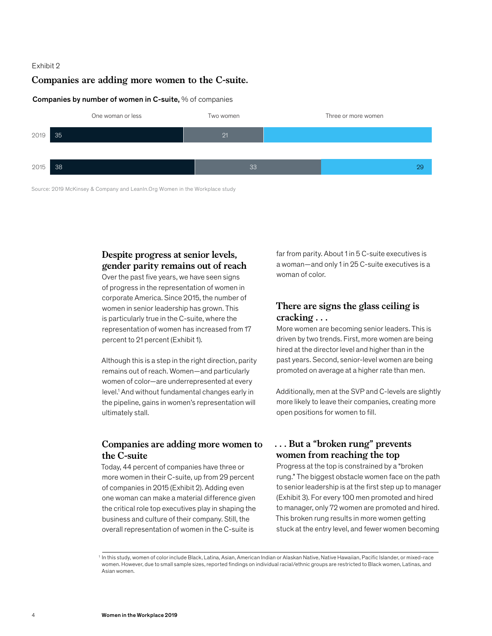#### **Companies are adding more women to the C-suite.**

#### Companies by number of women in C-suite, % of companies



Source: 2019 McKinsey & Company and LeanIn. Org Women in the Workplace study

# **Despite progress at senior levels, gender parity remains out of reach**

Over the past five years, we have seen signs of progress in the representation of women in corporate America. Since 2015, the number of women in senior leadership has grown. This is particularly true in the C-suite, where the representation of women has increased from 17 percent to 21 percent (Exhibit 1).

Although this is a step in the right direction, parity remains out of reach. Women—and particularly women of color—are underrepresented at every level.1 And without fundamental changes early in the pipeline, gains in women's representation will ultimately stall.

# **Companies are adding more women to the C-suite**

Today, 44 percent of companies have three or more women in their C-suite, up from 29 percent of companies in 2015 (Exhibit 2). Adding even one woman can make a material difference given the critical role top executives play in shaping the business and culture of their company. Still, the overall representation of women in the C-suite is

far from parity. About 1 in 5 C-suite executives is a woman—and only 1 in 25 C-suite executives is a woman of color.

# **There are signs the glass ceiling is cracking . . .**

More women are becoming senior leaders. This is driven by two trends. First, more women are being hired at the director level and higher than in the past years. Second, senior-level women are being promoted on average at a higher rate than men.

Additionally, men at the SVP and C-levels are slightly more likely to leave their companies, creating more open positions for women to fill.

# **. . . But a "broken rung" prevents women from reaching the top**

Progress at the top is constrained by a "broken rung." The biggest obstacle women face on the path to senior leadership is at the first step up to manager (Exhibit 3). For every 100 men promoted and hired to manager, only 72 women are promoted and hired. This broken rung results in more women getting stuck at the entry level, and fewer women becoming

<sup>1</sup> In this study, women of color include Black, Latina, Asian, American Indian or Alaskan Native, Native Hawaiian, Pacific Islander, or mixed-race women. However, due to small sample sizes, reported findings on individual racial/ethnic groups are restricted to Black women, Latinas, and Asian women.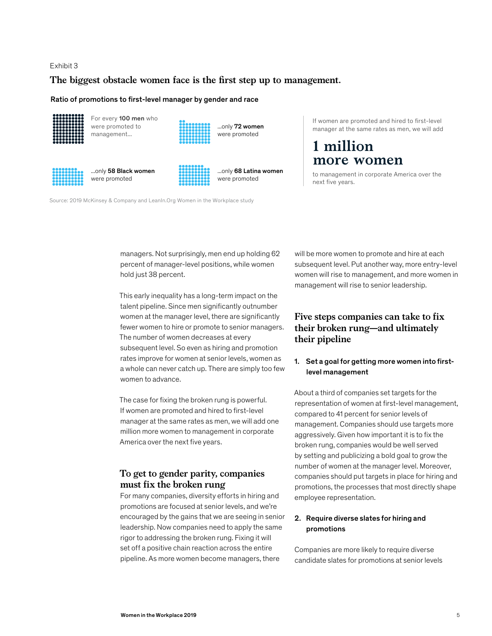#### The biggest obstacle women face is the first step up to management.

#### Ratio of promotions to first-level manager by gender and race



For every 100 men who were promoted to ...only 72 women management... **WE CONSISTENT WEE** were promoted



were promoted **were promoted** were promoted

...only 58 Black women ...only 68 Latina women

If women are promoted and hired to first-level manager at the same rates as men, we will add

# **1 million more women**

to management in corporate America over the next five years.

Source: 2019 McKinsey & Company and [LeanIn.Org](https://LeanIn.Org) Women in the Workplace study

managers. Not surprisingly, men end up holding 62 percent of manager-level positions, while women hold just 38 percent.

This early inequality has a long-term impact on the talent pipeline. Since men significantly outnumber women at the manager level, there are significantly fewer women to hire or promote to senior managers. The number of women decreases at every subsequent level. So even as hiring and promotion rates improve for women at senior levels, women as a whole can never catch up. There are simply too few women to advance.

The case for fixing the broken rung is powerful. If women are promoted and hired to first-level manager at the same rates as men, we will add one million more women to management in corporate America over the next five years.

# **To get to gender parity, companies must fix the broken rung**

For many companies, diversity efforts in hiring and promotions are focused at senior levels, and we're encouraged by the gains that we are seeing in senior leadership. Now companies need to apply the same rigor to addressing the broken rung. Fixing it will set off a positive chain reaction across the entire pipeline. As more women become managers, there

will be more women to promote and hire at each subsequent level. Put another way, more entry-level women will rise to management, and more women in management will rise to senior leadership.

# **Five steps companies can take to fix their broken rung—and ultimately their pipeline**

#### 1. Set a goal for getting more women into firstlevel management

About a third of companies set targets for the representation of women at first-level management, compared to 41 percent for senior levels of management. Companies should use targets more aggressively. Given how important it is to fix the broken rung, companies would be well served by setting and publicizing a bold goal to grow the number of women at the manager level. Moreover, companies should put targets in place for hiring and promotions, the processes that most directly shape employee representation.

### 2. Require diverse slates for hiring and promotions

Companies are more likely to require diverse candidate slates for promotions at senior levels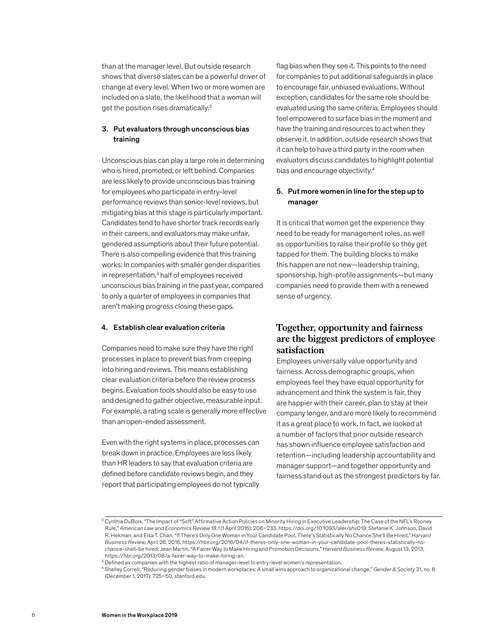than at the manager level. But outside research shows that diverse slates can be a powerful driver of change at every level. When two or more women are included on a slate, the likelihood that a woman will get the position rises dramatically.<sup>2</sup>

### 3. Put evaluators through unconscious bias training

Unconscious bias can play a large role in determining who is hired, promoted, or left behind. Companies are less likely to provide unconscious bias training for employees who participate in entry-level performance reviews than senior-level reviews, but mitigating bias at this stage is particularly important. Candidates tend to have shorter track records early in their careers, and evaluators may make unfair, gendered assumptions about their future potential. There is also compelling evidence that this training works: In companies with smaller gender disparities in representation,<sup>3</sup> half of employees received unconscious bias training in the past year, compared to only a quarter of employees in companies that aren't making progress closing these gaps.

#### 4. Establish clear evaluation criteria

Companies need to make sure they have the right processes in place to prevent bias from creeping into hiring and reviews. This means establishing clear evaluation criteria before the review process begins. Evaluation tools should also be easy to use and designed to gather objective, measurable input. For example, a rating scale is generally more effective than an open-ended assessment.

Even with the right systems in place, processes can break down in practice. Employees are less likely than HR leaders to say that evaluation criteria are defined before candidate reviews begin, and they report that participating employees do not typically flag bias when they see it. This points to the need for companies to put additional safeguards in place to encourage fair, unbiased evaluations. Without exception, candidates for the same role should be evaluated using the same criteria. Employees should feel empowered to surface bias in the moment and have the training and resources to act when they observe it. In addition, outside research shows that it can help to have a third party in the room when evaluators discuss candidates to highlight potential bias and encourage objectivity.4

#### 5. Put more women in line for the step up to manager

It is critical that women get the experience they need to be ready for management roles, as well as opportunities to raise their profile so they get tapped for them. The building blocks to make this happen are not new—leadership training, sponsorship, high-profile assignments—but many companies need to provide them with a renewed sense of urgency.

# **Together, opportunity and fairness are the biggest predictors of employee satisfaction**

Employees universally value opportunity and fairness. Across demographic groups, when employees feel they have equal opportunity for advancement and think the system is fair, they are happier with their career, plan to stay at their company longer, and are more likely to recommend it as a great place to work. In fact, we looked at a number of factors that prior outside research has shown influence employee satisfaction and retention—including leadership accountability and manager support—and together opportunity and fairness stand out as the strongest predictors by far.

<sup>&</sup>lt;sup>2</sup> Cynthia DuBois, "The Impact of "Soft" Affirmative Action Policies on Minority Hiring in Executive Leadership: The Case of the NFL's Rooney Rule," *American Law and Economics Review 18.1* (1 April 2016): 208–233, [https://doi.org/10.1093/aler/ahv019;](https://doi.org/10.1093/aler/ahv019) Stefanie K. Johnson, David R. Hekman, and Elsa T. Chan, "If There's Only One Woman in Your Candidate Pool, There's Statistically No Chance She'll Be Hired," *Harvard Business Review*, April 26, 2016,<https://hbr.org/2016/04/if-theres-only-one-woman-in-your-candidate-pool-theres-statistically-no>chance-shell-be hired; Jean Martin, "A Fairer Way to Make Hiring and Promotion Decisions," *Harvard Business Review*, August 13, 2013,

 $3$  Defined as companies with the highest ratio of manager-level to entry-level women's representation.

<sup>4</sup> Shelley Correll, "Reducing gender biases in modern workplaces: A small wins approach to organizational change," *Gender & Society* 31, no. 6 (December 1, 2017): 725–50, [stanford.edu](https://stanford.edu).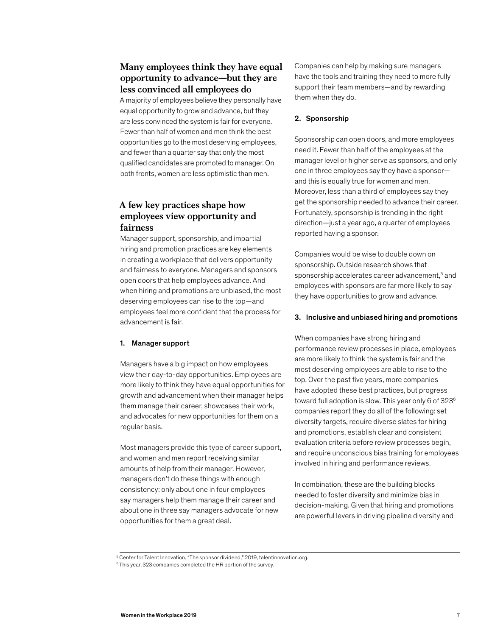# **Many employees think they have equal opportunity to advance—but they are less convinced all employees do**

A majority of employees believe they personally have equal opportunity to grow and advance, but they are less convinced the system is fair for everyone. Fewer than half of women and men think the best opportunities go to the most deserving employees, and fewer than a quarter say that only the most qualified candidates are promoted to manager. On both fronts, women are less optimistic than men.

# **A few key practices shape how employees view opportunity and fairness**

Manager support, sponsorship, and impartial hiring and promotion practices are key elements in creating a workplace that delivers opportunity and fairness to everyone. Managers and sponsors open doors that help employees advance. And when hiring and promotions are unbiased, the most deserving employees can rise to the top—and employees feel more confident that the process for advancement is fair.

#### 1. Manager support

Managers have a big impact on how employees view their day-to-day opportunities. Employees are more likely to think they have equal opportunities for growth and advancement when their manager helps them manage their career, showcases their work, and advocates for new opportunities for them on a regular basis.

Most managers provide this type of career support, and women and men report receiving similar amounts of help from their manager. However, managers don't do these things with enough consistency: only about one in four employees say managers help them manage their career and about one in three say managers advocate for new opportunities for them a great deal.

Companies can help by making sure managers have the tools and training they need to more fully support their team members—and by rewarding them when they do.

#### 2. Sponsorship

Sponsorship can open doors, and more employees need it. Fewer than half of the employees at the manager level or higher serve as sponsors, and only one in three employees say they have a sponsor and this is equally true for women and men. Moreover, less than a third of employees say they get the sponsorship needed to advance their career. Fortunately, sponsorship is trending in the right direction—just a year ago, a quarter of employees reported having a sponsor.

Companies would be wise to double down on sponsorship. Outside research shows that sponsorship accelerates career advancement,<sup>5</sup> and employees with sponsors are far more likely to say they have opportunities to grow and advance.

#### 3. Inclusive and unbiased hiring and promotions

When companies have strong hiring and performance review processes in place, employees are more likely to think the system is fair and the most deserving employees are able to rise to the top. Over the past five years, more companies have adopted these best practices, but progress toward full adoption is slow. This year only 6 of 323<sup>6</sup> companies report they do all of the following: set diversity targets, require diverse slates for hiring and promotions, establish clear and consistent evaluation criteria before review processes begin, and require unconscious bias training for employees involved in hiring and performance reviews.

In combination, these are the building blocks needed to foster diversity and minimize bias in decision-making. Given that hiring and promotions are powerful levers in driving pipeline diversity and

 $^5$  Center for Talent Innovation, "The sponsor dividend," 2019, [talentinnovation.org](https://talentinnovation.org).<br> $^6$  This year, 323 companies completed the HR portion of the survey.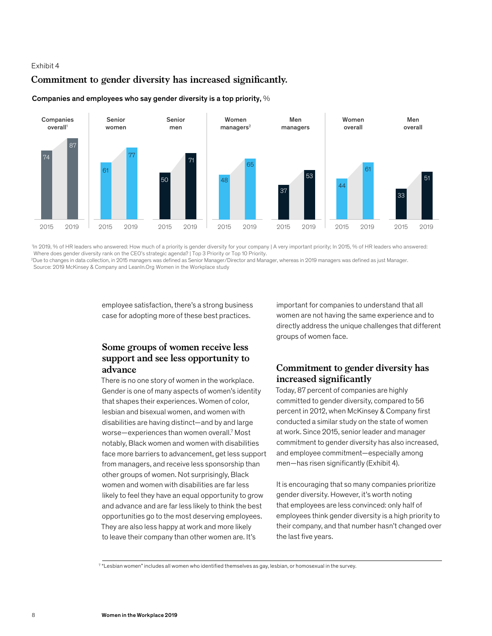## Commitment to gender diversity has increased significantly.



#### Companies and employees who say gender diversity is a top priority, %

1 In 2019, % of HR leaders who answered: How much of a priority is gender diversity for your company | A very important priority; In 2015, % of HR leaders who answered: Where does gender diversity rank on the CEO's strategic agenda? | Top 3 Priority or Top 10 Priority.

2 Due to changes in data collection, in 2015 managers was deÿned as Senior Manager/Director and Manager, whereas in 2019 managers was deÿned as just Manager. Source: 2019 McKinsey & Company and [LeanIn.Org](https://LeanIn.Org) Women in the Workplace study

> employee satisfaction, there's a strong business case for adopting more of these best practices.

# **Some groups of women receive less support and see less opportunity to advance**

There is no one story of women in the workplace. Gender is one of many aspects of women's identity that shapes their experiences. Women of color, lesbian and bisexual women, and women with disabilities are having distinct—and by and large worse-experiences than women overall.<sup>7</sup> Most notably, Black women and women with disabilities face more barriers to advancement, get less support from managers, and receive less sponsorship than other groups of women. Not surprisingly, Black women and women with disabilities are far less likely to feel they have an equal opportunity to grow and advance and are far less likely to think the best opportunities go to the most deserving employees. They are also less happy at work and more likely to leave their company than other women are. It's

important for companies to understand that all women are not having the same experience and to directly address the unique challenges that different groups of women face.

# **Commitment to gender diversity has increased significantly**

Today, 87 percent of companies are highly committed to gender diversity, compared to 56 percent in 2012, when McKinsey & Company first conducted a similar study on the state of women at work. Since 2015, senior leader and manager commitment to gender diversity has also increased, and employee commitment—especially among men—has risen significantly (Exhibit 4).

It is encouraging that so many companies prioritize gender diversity. However, it's worth noting that employees are less convinced: only half of employees think gender diversity is a high priority to their company, and that number hasn't changed over the last five years.

7 "Lesbian women" includes all women who identified themselves as gay, lesbian, or homosexual in the survey.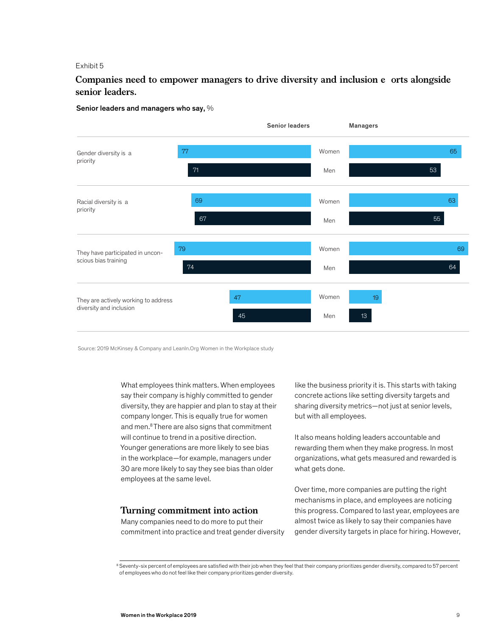# **Companies need to empower managers to drive diversity and inclusion e orts alongside senior leaders.**

#### Senior leaders and managers who say, %



Source: 2019 McKinsey & Company and [LeanIn.Org](https://LeanIn.Org) Women in the Workplace study

What employees think matters. When employees say their company is highly committed to gender diversity, they are happier and plan to stay at their company longer. This is equally true for women and men.8 There are also signs that commitment will continue to trend in a positive direction. Younger generations are more likely to see bias in the workplace—for example, managers under 30 are more likely to say they see bias than older employees at the same level.

#### **Turning commitment into action**

Many companies need to do more to put their commitment into practice and treat gender diversity like the business priority it is. This starts with taking concrete actions like setting diversity targets and sharing diversity metrics—not just at senior levels, but with all employees.

It also means holding leaders accountable and rewarding them when they make progress. In most organizations, what gets measured and rewarded is what gets done.

Over time, more companies are putting the right mechanisms in place, and employees are noticing this progress. Compared to last year, employees are almost twice as likely to say their companies have gender diversity targets in place for hiring. However,

<sup>&</sup>lt;sup>8</sup> Seventy-six percent of employees are satisfied with their job when they feel that their company prioritizes gender diversity, compared to 57 percent<br>of employees who do not feel like their company prioritizes gender di